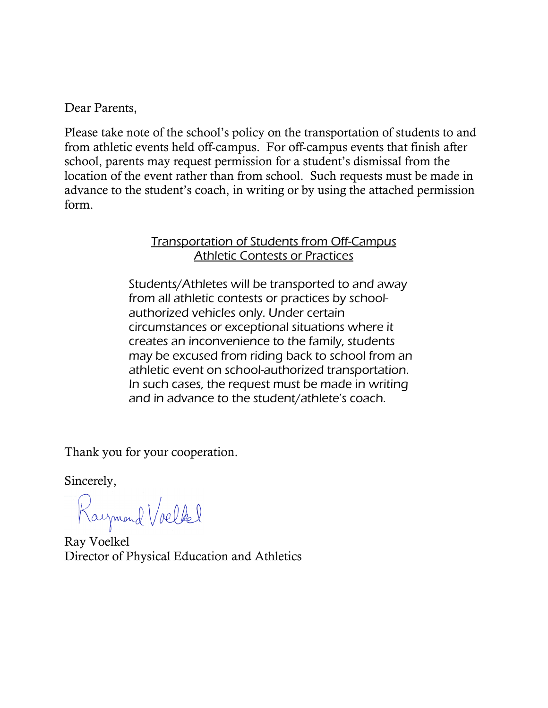Dear Parents,

Please take note of the school's policy on the transportation of students to and from athletic events held off-campus. For off-campus events that finish after school, parents may request permission for a student's dismissal from the location of the event rather than from school. Such requests must be made in advance to the student's coach, in writing or by using the attached permission form.

# Transportation of Students from Off-Campus Athletic Contests or Practices

Students/Athletes will be transported to and away from all athletic contests or practices by schoolauthorized vehicles only. Under certain circumstances or exceptional situations where it creates an inconvenience to the family, students may be excused from riding back to school from an athletic event on school-authorized transportation. In such cases, the request must be made in writing and in advance to the student/athlete's coach.

Thank you for your cooperation.

Sincerely,

Raymond Voelkel

Ray Voelkel Director of Physical Education and Athletics